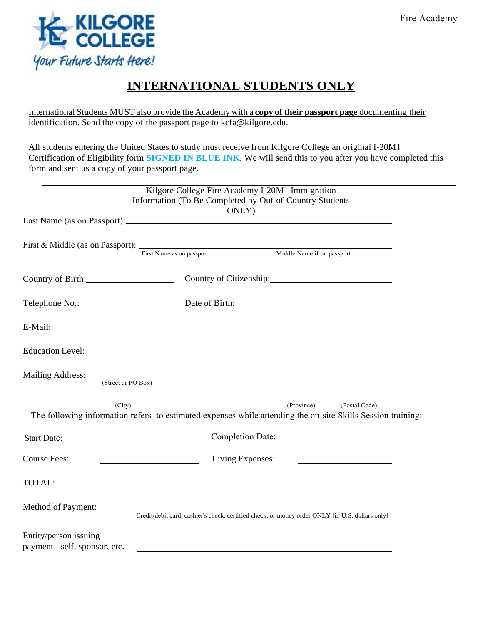

## **INTERNATIONAL STUDENTS ONLY**

International Students MUST also provide the Academy with a **copy of their passport page** documenting their identification. Send the copy of the passport page to kcfa@kilgore.edu.

All students entering the United States to study must receive from Kilgore College an original I-20M1 Certification of Eligibility form **SIGNED IN BLUE INK**. We will send this to you after you have completed this form and sent us a copy of your passport page.

|                                                                                                                                    | Kilgore College Fire Academy I-20M1 Immigration<br>Information (To Be Completed by Out-of-Country Students                                                                                                                     | ONLY)                   |  |                          |  |
|------------------------------------------------------------------------------------------------------------------------------------|--------------------------------------------------------------------------------------------------------------------------------------------------------------------------------------------------------------------------------|-------------------------|--|--------------------------|--|
|                                                                                                                                    |                                                                                                                                                                                                                                |                         |  |                          |  |
| First & Middle (as on Passport): First Name as on passport Middle Name if on passport                                              |                                                                                                                                                                                                                                |                         |  |                          |  |
| Country of Birth: 2003                                                                                                             |                                                                                                                                                                                                                                |                         |  |                          |  |
|                                                                                                                                    | Telephone No.: Date of Birth: 2008 Communication Communication Communication Communication Communication Communication Communication Communication Communication Communication Communication Communication Communication Commu |                         |  |                          |  |
| E-Mail:                                                                                                                            |                                                                                                                                                                                                                                |                         |  |                          |  |
| <b>Education Level:</b>                                                                                                            |                                                                                                                                                                                                                                |                         |  |                          |  |
| <b>Mailing Address:</b>                                                                                                            | (Street or PO Box)                                                                                                                                                                                                             |                         |  |                          |  |
| $\overline{(City)}$<br>The following information refers to estimated expenses while attending the on-site Skills Session training: |                                                                                                                                                                                                                                |                         |  | (Province) (Postal Code) |  |
| <b>Start Date:</b>                                                                                                                 | <u> 1990 - Johann Barbara, martin amerikan personal (</u>                                                                                                                                                                      | <b>Completion Date:</b> |  |                          |  |
| <b>Course Fees:</b>                                                                                                                | <u> 1980 - Johann Barbara, martxa a</u>                                                                                                                                                                                        | Living Expenses:        |  |                          |  |
| TOTAL:                                                                                                                             |                                                                                                                                                                                                                                |                         |  |                          |  |
| Method of Payment:                                                                                                                 | Credit/debit card, cashier's check, certified check, or money order ONLY [in U.S. dollars only]                                                                                                                                |                         |  |                          |  |
| Entity/person issuing<br>payment - self, sponsor, etc.                                                                             |                                                                                                                                                                                                                                |                         |  |                          |  |